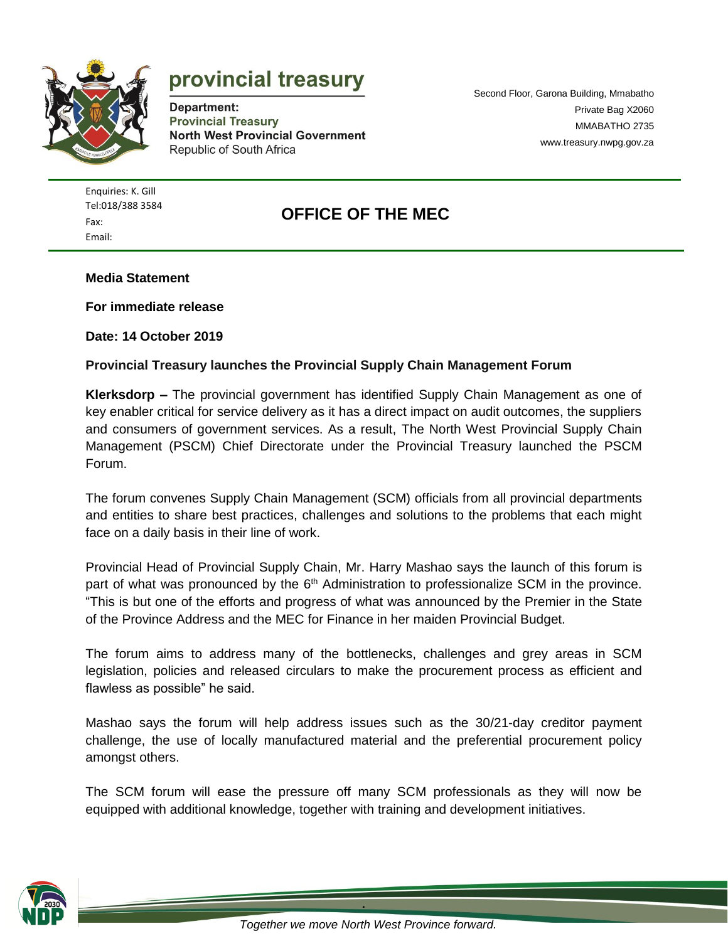

# provincial treasury

Department: **Provincial Treasury North West Provincial Government** Republic of South Africa

Second Floor, Garona Building, Mmabatho Private Bag X2060 MMABATHO 2735 [www.treasury.nwpg.gov.za](http://www.treasury.nwpg.gov.za/)

Enquiries: K. Gill [Tel:018/388](tel:018/388) 3584 Fax: Email:

## **OFFICE OF THE MEC**

**Media Statement**

**For immediate release**

**Date: 14 October 2019**

#### **Provincial Treasury launches the Provincial Supply Chain Management Forum**

**Klerksdorp –** The provincial government has identified Supply Chain Management as one of key enabler critical for service delivery as it has a direct impact on audit outcomes, the suppliers and consumers of government services. As a result, The North West Provincial Supply Chain Management (PSCM) Chief Directorate under the Provincial Treasury launched the PSCM Forum.

The forum convenes Supply Chain Management (SCM) officials from all provincial departments and entities to share best practices, challenges and solutions to the problems that each might face on a daily basis in their line of work.

Provincial Head of Provincial Supply Chain, Mr. Harry Mashao says the launch of this forum is part of what was pronounced by the  $6<sup>th</sup>$  Administration to professionalize SCM in the province. "This is but one of the efforts and progress of what was announced by the Premier in the State of the Province Address and the MEC for Finance in her maiden Provincial Budget.

The forum aims to address many of the bottlenecks, challenges and grey areas in SCM legislation, policies and released circulars to make the procurement process as efficient and flawless as possible" he said.

Mashao says the forum will help address issues such as the 30/21-day creditor payment challenge, the use of locally manufactured material and the preferential procurement policy amongst others.

The SCM forum will ease the pressure off many SCM professionals as they will now be equipped with additional knowledge, together with training and development initiatives.